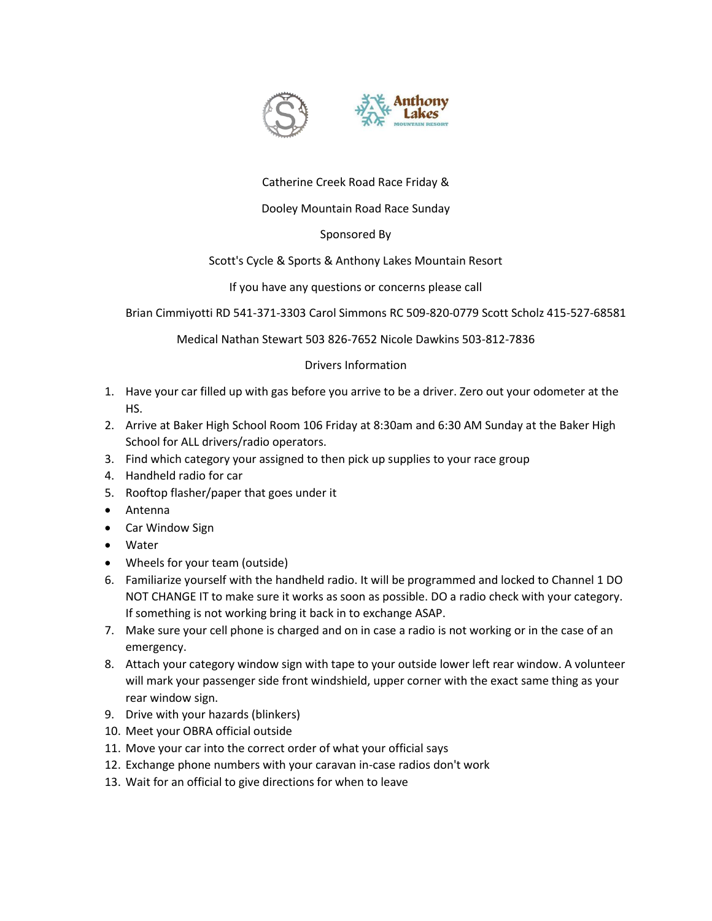

# Catherine Creek Road Race Friday &

# Dooley Mountain Road Race Sunday

# Sponsored By

## Scott's Cycle & Sports & Anthony Lakes Mountain Resort

### If you have any questions or concerns please call

Brian Cimmiyotti RD 541-371-3303 Carol Simmons RC 509-820-0779 Scott Scholz 415-527-68581

Medical Nathan Stewart 503 826-7652 Nicole Dawkins 503-812-7836

## Drivers Information

- 1. Have your car filled up with gas before you arrive to be a driver. Zero out your odometer at the HS.
- 2. Arrive at Baker High School Room 106 Friday at 8:30am and 6:30 AM Sunday at the Baker High School for ALL drivers/radio operators.
- 3. Find which category your assigned to then pick up supplies to your race group
- 4. Handheld radio for car
- 5. Rooftop flasher/paper that goes under it
- Antenna
- Car Window Sign
- Water
- Wheels for your team (outside)
- 6. Familiarize yourself with the handheld radio. It will be programmed and locked to Channel 1 DO NOT CHANGE IT to make sure it works as soon as possible. DO a radio check with your category. If something is not working bring it back in to exchange ASAP.
- 7. Make sure your cell phone is charged and on in case a radio is not working or in the case of an emergency.
- 8. Attach your category window sign with tape to your outside lower left rear window. A volunteer will mark your passenger side front windshield, upper corner with the exact same thing as your rear window sign.
- 9. Drive with your hazards (blinkers)
- 10. Meet your OBRA official outside
- 11. Move your car into the correct order of what your official says
- 12. Exchange phone numbers with your caravan in-case radios don't work
- 13. Wait for an official to give directions for when to leave